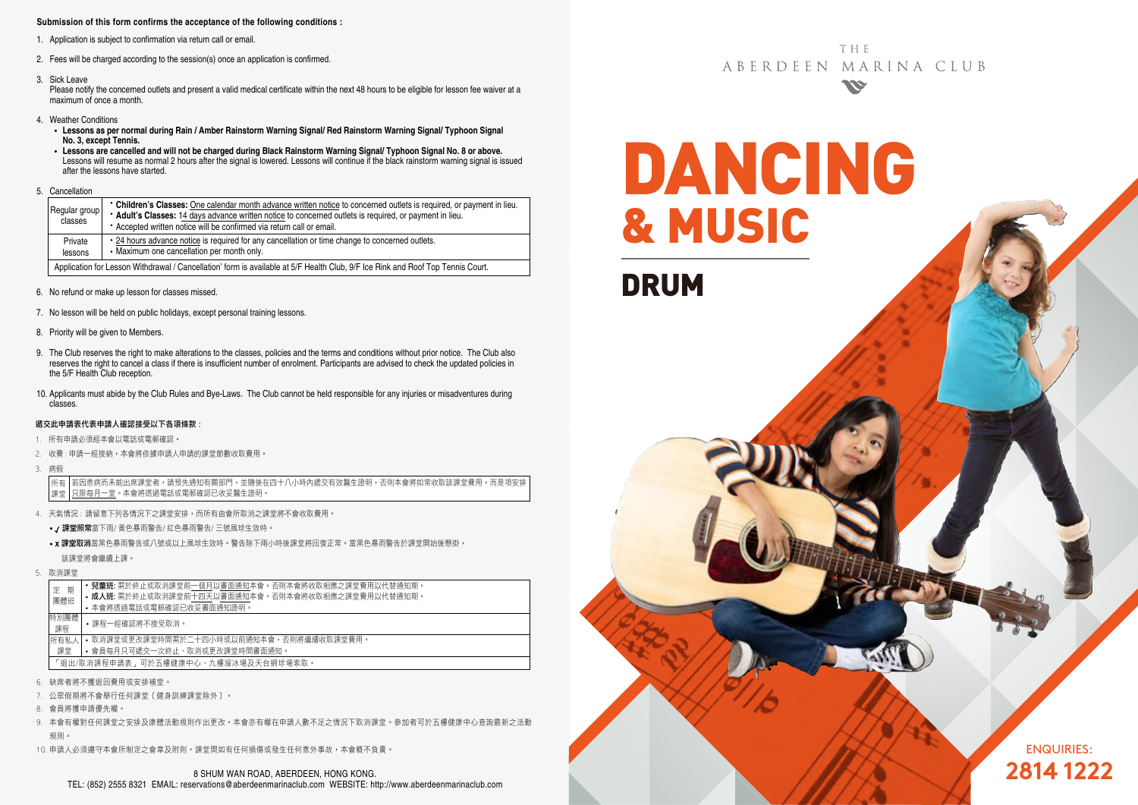### **Submission of this form confirms the acceptance of the following conditions :**

- 1. Application is subject to confirmation via return call or email.
- 2. Fees will be charged according to the session(s) once an application is confirmed.
- 3. Sick Leave

Please notify the concerned outlets and present a valid medical certificate within the next 48 hours to be eligible for lesson fee waiver at a maximum of once a month.

- 4. Weather Conditions
	- **Lessons as per normal during Rain / Amber Rainstorm Warning Signal/ Red Rainstorm Warning Signal/ Typhoon Signal No. 3, except Tennis.**
	- **Lessons are cancelled and will not be charged during Black Rainstorm Warning Signal/ Typhoon Signal No. 8 or above.** Lessons will resume as normal 2 hours after the signal is lowered. Lessons will continue if the black rainstorm warning signal is issued after the lessons have started.
- 5. Cancellation

|  | Regular group<br>classes                                                                                                        | • Children's Classes: One calendar month advance written notice to concerned outlets is required, or payment in lieu.<br>* Adult's Classes: 14 days advance written notice to concerned outlets is required, or payment in lieu.<br>• Accepted written notice will be confirmed via return call or email. |  |  |  |  |  |
|--|---------------------------------------------------------------------------------------------------------------------------------|-----------------------------------------------------------------------------------------------------------------------------------------------------------------------------------------------------------------------------------------------------------------------------------------------------------|--|--|--|--|--|
|  | Private<br>lessons                                                                                                              | • 24 hours advance notice is required for any cancellation or time change to concerned outlets.<br>• Maximum one cancellation per month only.                                                                                                                                                             |  |  |  |  |  |
|  | Application for Lesson Withdrawal / Cancellation' form is available at 5/F Health Club, 9/F Ice Rink and Roof Top Tennis Court. |                                                                                                                                                                                                                                                                                                           |  |  |  |  |  |

- 6. No refund or make up lesson for classes missed.
- 7. No lesson will be held on public holidays, except personal training lessons.
- 8. Priority will be given to Members.
- 9. The Club reserves the right to make alterations to the classes, policies and the terms and conditions without prior notice. The Club also reserves the right to cancel a class if there is insufficient number of enrolment. Participants are advised to check the updated policies in the 5/F Health Club reception.
- 10. Applicants must abide by the Club Rules and Bye-Laws. The Club cannot be held responsible for any injuries or misadventures during classes.

#### 遞交此申請表代表申請人確認接受以下各項條款 :

- 1. 所有申請必須經本會以電話或電郵確認。
- 2. 收費 : 申請一經接納,本會將依據申請人申請的課堂節數收取費用。
- 3. 病假

若因患病而未能出席課堂者,請預先通知有關部門,並隨後在四十八小時內遞交有效醫生證明,否則本會將如常收取該課堂費用,而是項安排 只限每月一堂。本會將透過電話或電郵確認已收妥醫生證明。 所有 課堂

- 4. 天氣情況 : 請留意下列各情況下之課堂安排,而所有由會所取消之課堂將不會收取費用。
	- / 課堂照常當下雨/ 黃色暴雨警告/ 紅色暴雨警告/ 三號風球生效時。
	- x 課堂取消當黑色暴雨警告或八號或以上風球生效時。警告除下兩小時後課堂將回復正常。當黑色暴雨警告於課堂開始後懸掛, 該課堂將會繼續上課。
- 5. 取消課堂

|  | 期<br>定<br>團體班                                    | <b>兒童班:</b> 需於終止或取消課堂前一個月以書面通知本會。否則本會將收取相應之課堂費用以代替通知期。 |  |  |  |  |  |
|--|--------------------------------------------------|--------------------------------------------------------|--|--|--|--|--|
|  |                                                  | • 成人班: 需於終止或取消課堂前十四天以書面通知本會。否則本會將收取相應之課堂費用以代替通知期。      |  |  |  |  |  |
|  |                                                  | • 本會將透過電話或電郵確認已收妥書面通知證明。                               |  |  |  |  |  |
|  | 特別團體                                             | •課程一經確認將不接受取消。                                         |  |  |  |  |  |
|  | 課程                                               |                                                        |  |  |  |  |  |
|  | • 取消課堂或更改課堂時間需於二十四小時或以前通知本會,否則將繼續收取課堂費用。<br>所有私人 |                                                        |  |  |  |  |  |
|  | • 會員每月只可遞交一次終止、取消或更改課堂時間書面通知。<br>課堂              |                                                        |  |  |  |  |  |
|  | 「狠出/取消課程申請表,可於五樓健康中心、九樓溜冰場及天台網球場索取。              |                                                        |  |  |  |  |  |
|  |                                                  |                                                        |  |  |  |  |  |
|  | 6. 缺席者將不獲退回費用或安排補堂。                              |                                                        |  |  |  |  |  |

- 7. 公眾假期將不會舉行任何課堂﹝健身訓練課堂除外﹞。
- 
- 8. 會員將獲申請優先權。
- 9. 本會有權對任何課堂之安排及康體活動規則作出更改。本會亦有權在申請人數不足之情況下取消課堂。參加者可於五樓健康中心查詢最新之活動 規則。
- 10. 申請人必須遵守本會所制定之會章及附則。課堂間如有任何損傷或發生任何意外事故,本會概不負責。

**THF** ABERDEEN MARINA CLUB **SSE** 

DANCING & MUSIC

DRUM

ENQUIRIES: **2814 1222**